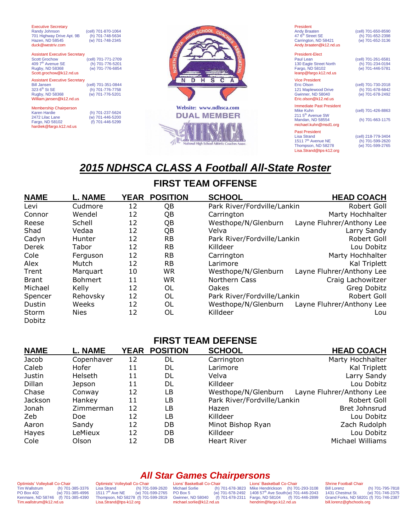| <b>Executive Secretary</b><br>Randy Johnson<br>701 Highway Drive Apt. 9B<br>Hazen, ND 58545<br>duck@westriv.com                             | (cell) 701-870-1064<br>(h) 701-748-5634<br>(w) 701-748-2345 |  |
|---------------------------------------------------------------------------------------------------------------------------------------------|-------------------------------------------------------------|--|
| <b>Assistant Executive Secretary</b><br><b>Scott Grochow</b><br>409 7 <sup>th</sup> Avenue SE<br>Rugby, ND 58368<br>Scott.grochow@k12.nd.us | (cell) 701-771-2709<br>(h) 701-776-5201<br>(w) 701-776-6854 |  |
| <b>Assistant Executive Secretary</b><br><b>Bill Jansen</b><br>323 6 <sup>th</sup> St SE<br>Rugby, ND 58368<br>William.jansen@k12.nd.us      | (cell) 701-351-0844<br>(h) 701-776-7758<br>(w) 701-776-5201 |  |

Membership Chairperson Karen Hardie (h) 701-237-5624 Fargo, ND 58102 hardiek@fargo.k12.nd.us

 $($ w) 701-446-5200<br> $($ f) 701-446-5299



President<br>Andy Braaten<br>47 6<sup>th</sup> Street SE Carrington, ND 58421 [Andy.braaten@k12.nd.us](mailto:Andy.braaten@k12.nd.us)

(cell) 701-650-8590 (h) 701-652-2398<br>(w) 701-652-3136

President-Elect Paul Lean (cell) 701-261-6581 130 Eagle Street North (h) 701-234-0194<br>
Fargo, ND 58102 (w) 701-446-5781 Fargo, ND 58102 (w) 701-446-5781 leanp@fargo.k12.nd.us

Vice President<br>Eric Olson 121 Maplewood Drive (h) 701-678-6842 Gwinner, ND 58040 (w) 701-678-2492 Eric.olson@k12.nd.us

**Immediate Past President**<br>Mike Kuhn  $2115^{\text{th}}$  Avenue SW<br>Mandan, ND 58554 [michael.kuhn@msd1.org](mailto:ralph.manley@sendit.nodak.edu)

Past President<br>Lisa Strand 1511 7th Avenue NE (h) 701-599-2620 Thompson, ND 58278 (w) 701-599-2765 [Lisa.Strand@tps-k12.org](mailto:Lisa.Strand@tps-k12.org)

(cell) 701-730-2018<br>
(h) 701-678-6842<br>
(w) 701-678-2492

(cell) 701-426-8863

(h) 701-663-1175

(cell) 218-779-3404<br>
(h) 701-599-2620<br>
(w) 701-599-2765

## *2015 NDHSCA CLASS A Football All-State Roster*

## **FIRST TEAM OFFENSE**

| <b>NAME</b>     | <b>L. NAME</b> | <b>YEAR</b> | <b>POSITION</b> | <b>SCHOOL</b>               | <b>HEAD COACH</b>         |
|-----------------|----------------|-------------|-----------------|-----------------------------|---------------------------|
| Levi            | Cudmore        | 12          | QB              | Park River/Fordville/Lankin | Robert Goll               |
| Connor          | Wendel         | 12          | QB              | Carrington                  | Marty Hochhalter          |
| Reese           | Schell         | 12          | QB              | Westhope/N/Glenburn         | Layne Fluhrer/Anthony Lee |
| Shad            | Vedaa          | 12          | QB              | Velva                       | Larry Sandy               |
| Cadyn           | Hunter         | 12          | <b>RB</b>       | Park River/Fordville/Lankin | Robert Goll               |
| Derek           | Tabor          | 12          | <b>RB</b>       | Killdeer                    | Lou Dobitz                |
| Cole            | Ferguson       | 12          | <b>RB</b>       | Carrington                  | Marty Hochhalter          |
| Alex            | Mutch          | 12          | <b>RB</b>       | Larimore                    | Kal Triplett              |
| Trent           | Marquart       | 10          | <b>WR</b>       | Westhope/N/Glenburn         | Layne Fluhrer/Anthony Lee |
| <b>Brant</b>    | <b>Bohmert</b> | 11          | <b>WR</b>       | Northern Cass               | Craig Lachowitzer         |
| Michael         | Kelly          | 12          | OL              | Oakes                       | Greg Dobitz               |
| Spencer         | Rehovsky       | 12          | OL              | Park River/Fordville/Lankin | Robert Goll               |
| Dustin          | Weeks          | 12          | OL              | Westhope/N/Glenburn         | Layne Fluhrer/Anthony Lee |
| Storm<br>Dobitz | <b>Nies</b>    | 12          | OL              | Killdeer                    | Lou                       |

## **FIRST TEAM DEFENSE**

| <b>NAME</b> | <b>L. NAME</b> | YEAR | <b>POSITION</b> | <b>SCHOOL</b>               | <b>HEAD COACH</b>         |
|-------------|----------------|------|-----------------|-----------------------------|---------------------------|
| Jacob       | Copenhaver     | 12   | DL              | Carrington                  | Marty Hochhalter          |
| Caleb       | Hofer          | 11   | DL              | Larimore                    | Kal Triplett              |
| Justin      | Helseth        | 11   | DL              | Velva                       | Larry Sandy               |
| Dillan      | Jepson         | 11   | DL              | Killdeer                    | Lou Dobitz                |
| Chase       | Conway         | 12   | LB              | Westhope/N/Glenburn         | Layne Fluhrer/Anthony Lee |
| Jackson     | Hankey         | 11   | LB              | Park River/Fordville/Lankin | Robert Goll               |
| Jonah       | Zimmerman      | 12   | LB              | Hazen                       | Bret Johnsrud             |
| Zeb         | Doe.           | 12   | LB              | Killdeer                    | Lou Dobitz                |
| Aaron       | Sandy          | 12   | DB              | Minot Bishop Ryan           | Zach Rudolph              |
| Hayes       | LeMieux        | 12   | DB              | Killdeer                    | Lou Dobitz                |
| Cole        | Olson          | 12   | DB              | <b>Heart River</b>          | Michael Williams          |

Optimists' Volleyball Co-Chair<br>Tim Wallstrum (h) 701-(h) 701-385-3376 PO Box 402 (w) 701-385-4996 Kenmare, ND 58746 (f) 701-385-4390 Tim.wallstrum@k12.nd.us

Optimists' Volleyball Co-Chair<br>Lisa Strand (h) 701 (h) 701-599-2620<br>(w) 701-599-2765  $1511 7<sup>th</sup>$  Ave NE Thompson, ND 58278 (f) 701-599-2819 [Lisa.Strand@tps-k12.org](mailto:Lisa.Strand@tps-k12.org)

*All Star Games Chairpersons* Lions' Basketball Co-Chair<br>Michael Sorlie (h) Gwinner, ND 58040 michael.sorlie@k12.nd.us

Michael Sorlie (h) 701-678-3823 PO Box 5 (w) 701-678-2492 Mike Hendrickson (h) 701-293-3108 1408 57th Ave South(w) 701-446-2043 Fargo, ND 58104 (f) 701-446-2899 Lions' Basketball Co-Chair (a) 101-678-2492 1406 57 Ave South(w) 10<br>(f) 701-678-2311 Fargo, ND 58104 (f) 70<br>hendrim@fargo.k12.nd.us

Shrine Football Chair<br>Bill Lorenz

Bill Lorenz (h) 701-795-7818 (w) 701-746-2375 Grand Forks, ND 58201 (f) 701-746-2387 bill.lorenz@gfschools.org